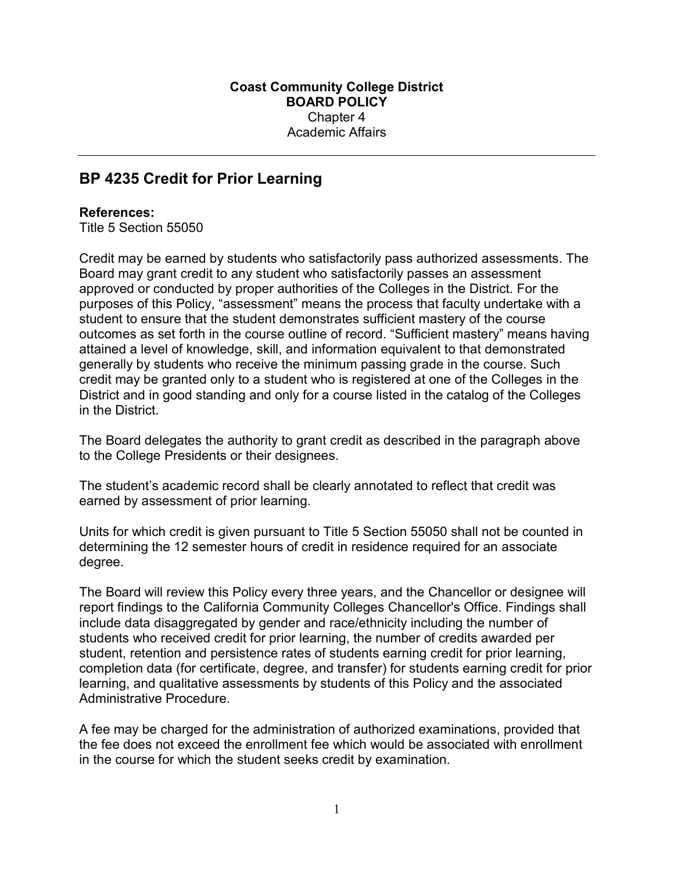## BP 4235 Credit for Prior Learning

## References:

Title 5 Section 55050

Credit may be earned by students who satisfactorily pass authorized assessments. The Board may grant credit to any student who satisfactorily passes an assessment approved or conducted by proper authorities of the Colleges in the District. For the purposes of this Policy, "assessment" means the process that faculty undertake with a student to ensure that the student demonstrates sufficient mastery of the course outcomes as set forth in the course outline of record. "Sufficient mastery" means having attained a level of knowledge, skill, and information equivalent to that demonstrated generally by students who receive the minimum passing grade in the course. Such credit may be granted only to a student who is registered at one of the Colleges in the District and in good standing and only for a course listed in the catalog of the Colleges in the District.

The Board delegates the authority to grant credit as described in the paragraph above to the College Presidents or their designees.

The student's academic record shall be clearly annotated to reflect that credit was earned by assessment of prior learning.

Units for which credit is given pursuant to Title 5 Section 55050 shall not be counted in determining the 12 semester hours of credit in residence required for an associate degree.

The Board will review this Policy every three years, and the Chancellor or designee will report findings to the California Community Colleges Chancellor's Office. Findings shall include data disaggregated by gender and race/ethnicity including the number of students who received credit for prior learning, the number of credits awarded per student, retention and persistence rates of students earning credit for prior learning, completion data (for certificate, degree, and transfer) for students earning credit for prior learning, and qualitative assessments by students of this Policy and the associated Administrative Procedure.

A fee may be charged for the administration of authorized examinations, provided that the fee does not exceed the enrollment fee which would be associated with enrollment in the course for which the student seeks credit by examination.